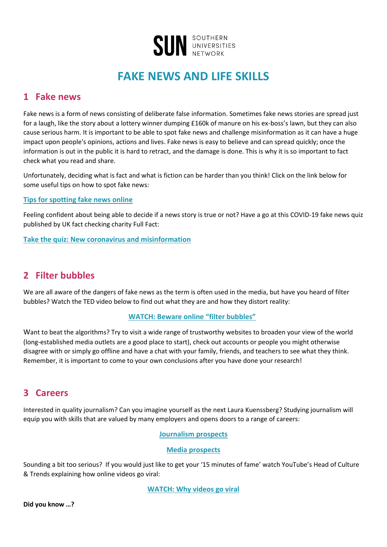

# **FAKE NEWS AND LIFE SKILLS**

### **1 Fake news**

Fake news is a form of news consisting of deliberate false information. Sometimes fake news stories are spread just for a laugh, like the story about a lottery winner dumping £160k of manure on his ex-boss's lawn, but they can also cause serious harm. It is important to be able to spot fake news and challenge misinformation as it can have a huge impact upon people's opinions, actions and lives. Fake news is easy to believe and can spread quickly; once the information is out in the public it is hard to retract, and the damage is done. This is why it is so important to fact check what you read and share.

Unfortunately, deciding what is fact and what is fiction can be harder than you think! Click on the link below for some useful tips on how to spot fake news:

#### **[Tips for spotting fake news online](https://www.bbc.co.uk/bitesize/articles/zrprrj6)**

Feeling confident about being able to decide if a news story is true or not? Have a go at this COVID-19 fake news quiz published by UK fact checking charity Full Fact:

**[Take the quiz: New coronavirus and misinformation](https://fullfact.org/quiz/coronavirus/)**

### **2 Filter bubbles**

We are all aware of the dangers of fake news as the term is often used in the media, but have you heard of filter bubbles? Watch the TED video below to find out what they are and how they distort reality:

#### **[WATCH: Beware online](https://www.ted.com/talks/eli_pariser_beware_online_filter_bubbles?referrer=playlist-how_to_pop_our_filter_bubbles) "filter bubbles"**

Want to beat the algorithms? Try to visit a wide range of trustworthy websites to broaden your view of the world (long-established media outlets are a good place to start), check out accounts or people you might otherwise disagree with or simply go offline and have a chat with your family, friends, and teachers to see what they think. Remember, it is important to come to your own conclusions after you have done your research!

### **3 Careers**

Interested in quality journalism? Can you imagine yourself as the next Laura Kuenssberg? Studying journalism will equip you with skills that are valued by many employers and opens doors to a range of careers:

#### **[Journalism prospects](https://www.prospects.ac.uk/careers-advice/what-can-i-do-with-my-degree/journalism)**

#### **[Media prospects](https://www.careerpilot.org.uk/job-sectors/media/useful-links)**

Sounding a bit too serious? If you would just like to get your '15 minutes of fame' watch YouTube's Head of Culture & Trends explaining how online videos go viral:

**[WATCH: Why videos go viral](https://www.ted.com/talks/kevin_allocca_why_videos_go_viral?referrer=playlist-our_digital_lives)**